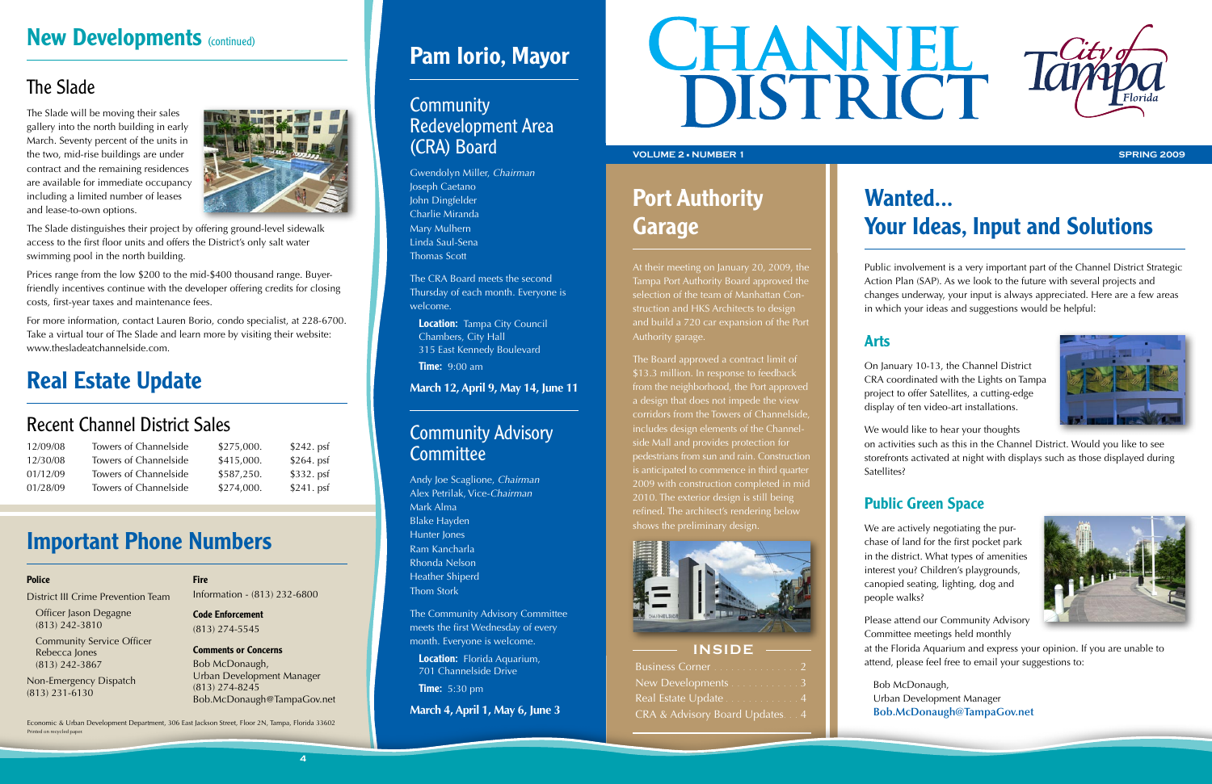# **New Developments (continued)**

## The Slade

The Slade will be moving their sales gallery into the north building in early March. Seventy percent of the units in the two, mid-rise buildings are under contract and the remaining residences are available for immediate occupancy including a limited number of leases and lease-to-own options.



The Slade distinguishes their project by offering ground-level sidewalk access to the first floor units and offers the District's only salt water swimming pool in the north building.

# Wanted... Your Ideas, Input and Solutions

Prices range from the low \$200 to the mid-\$400 thousand range. Buyerfriendly incentives continue with the developer offering credits for closing costs, first-year taxes and maintenance fees.

For more information, contact Lauren Borio, condo specialist, at 228-6700. Take a virtual tour of The Slade and learn more by visiting their website: www.thesladeatchannelside.com.

> We are actively negotiating the purchase of land for the first pocket park in the district. What types of amenities interest you? Children's playgrounds, canopied seating, lighting, dog and people walks?

Public involvement is a very important part of the Channel District Strategic Action Plan (SAP). As we look to the future with several projects and changes underway, your input is always appreciated. Here are a few areas in which your ideas and suggestions would be helpful:

### Arts

On January 10-13, the Channel District CRA coordinated with the Lights on Tampa project to offer Satellites, a cutting-edge display of ten video-art installations.



### **Community** Redevelopment Area (CRA) Board

We would like to hear your thoughts

on activities such as this in the Channel District. Would you like to see storefronts activated at night with displays such as those displayed during

**Location:** Tampa City Council Chambers, City Hall 315 East Kennedy Boulevard

**Time:** 9:00 am

### Community Advisory **Committee**

Satellites?

### Public Green Space

**Location:** Florida Aquarium, 701 Channelside Drive

**Time:** 5:30 pm

Economic & Urban Development Department, 306 East Jackson Street, Floor 2N, Tampa, Florida 33602 Printed on recycled paper

Please attend our Community Advisory Committee meetings held monthly



at the Florida Aquarium and express your opinion. If you are unable to attend, please feel free to email your suggestions to:

Bob McDonaugh, Urban Development Manager **Bob.McDonaugh@TampaGov.net**

### **INSIDE**

| Business Corner 2               |  |
|---------------------------------|--|
| New Developments 3              |  |
| Real Estate Update 4            |  |
| CRA & Advisory Board Updates. 4 |  |

# Important Phone Numbers

### **Police**

District III Crime Prevention Team

Officer Jason Degagne (813) 242-3810

Community Service Officer Rebecca Jones (813) 242-3867

Non-Emergency Dispatch (813) 231-6130

### **Fire**

Information - (813) 232-6800

Code Enforcement (813) 274-5545

Comments or Concerns Bob McDonaugh, Urban Development Manager (813) 274-8245 Bob.McDonaugh@TampaGov.net

# Pam Iorio, Mayor

Gwendolyn Miller, *Chairman* Joseph Caetano John Dingfelder Charlie Miranda Mary Mulhern Linda Saul-Sena Thomas Scott

The CRA Board meets the second Thursday of each month. Everyone is welcome.

### **March 12, April 9, May 14, June 11**

Andy Joe Scaglione, *Chairman* Alex Petrilak, Vice-*Chairman* Mark Alma Blake Hayden Hunter Jones Ram Kancharla Rhonda Nelson Heather Shiperd Thom Stork

The Community Advisory Committee meets the first Wednesday of every month. Everyone is welcome.

**March 4, April 1, May 6, June 3**



# Port Authority Garage

At their meeting on January 20, 2009, the Tampa Port Authority Board approved the selection of the team of Manhattan Construction and HKS Architects to design and build a 720 car expansion of the Port Authority garage.

The Board approved a contract limit of \$13.3 million. In response to feedback from the neighborhood, the Port approved a design that does not impede the view corridors from the Towers of Channelside, includes design elements of the Channelside Mall and provides protection for pedestrians from sun and rain. Construction is anticipated to commence in third quarter 2009 with construction completed in mid 2010. The exterior design is still being refined. The architect's rendering below shows the preliminary design.



# Real Estate Update

## Recent Channel District Sales

| 12/09/08 | Towers of Channelside | \$275,000. | $$242.$ psf |
|----------|-----------------------|------------|-------------|
| 12/30/08 | Towers of Channelside | \$415,000. | $$264.$ psf |
| 01/12/09 | Towers of Channelside | \$587,250. | $$332.$ psf |
| 01/28/09 | Towers of Channelside | \$274,000. | $$241.$ psf |

### **VOLUME 2** n **NUMBER 1 SPRING 2009**